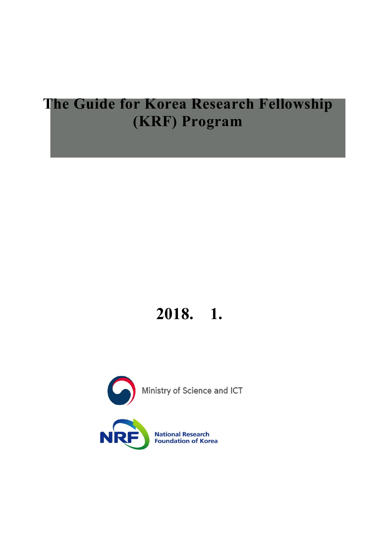# **The Guide for Korea Research Fellowship (KRF) Program**

# **2018. 1.**

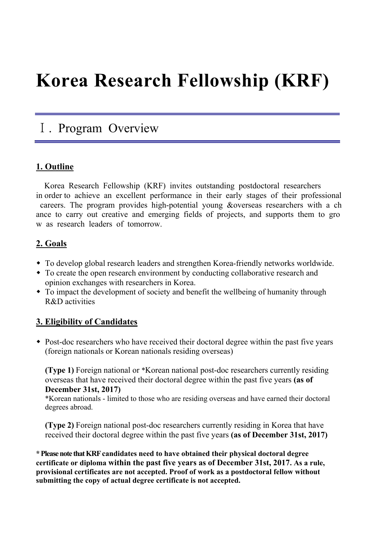# **Korea Research Fellowship (KRF)**

# Ⅰ. Program Overview

## **1. Outline**

Korea Research Fellowship (KRF) invites outstanding postdoctoral researchers in order to achieve an excellent performance in their early stages of their professional careers. The program provides high-potential young &overseas researchers with a ch ance to carry out creative and emerging fields of projects, and supports them to gro w as research leaders of tomorrow.

## **2. Goals**

- To develop global research leaders and strengthen Korea-friendly networks worldwide.
- To create the open research environment by conducting collaborative research and opinion exchanges with researchers in Korea.
- To impact the development of society and benefit the wellbeing of humanity through R&D activities

## **3. Eligibility of Candidates**

• Post-doc researchers who have received their doctoral degree within the past five years (foreign nationals or Korean nationals residing overseas)

**(Type 1)** Foreign national or \*Korean national post-doc researchers currently residing overseas that have received their doctoral degree within the past five years **(as of December 31st, 2017)**

\*Korean nationals - limited to those who are residing overseas and have earned their doctoral degrees abroad.

**(Type 2)** Foreign national post-doc researchers currently residing in Korea that have received their doctoral degree within the past five years **(as of December 31st, 2017)**

**\* Please note that KRF candidates need to have obtained their physical doctoral degree certificate or diploma within the past five years as of December 31st, 2017. As a rule, provisional certificates are not accepted. Proof of work as a postdoctoral fellow without submitting the copy of actual degree certificate is not accepted.**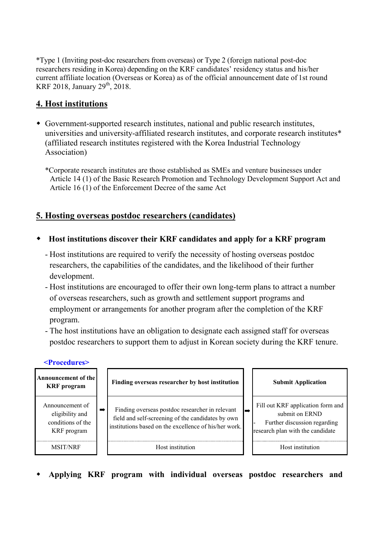\*Type 1 (Inviting post-doc researchers from overseas) or Type 2 (foreign national post-doc researchers residing in Korea) depending on the KRF candidates' residency status and his/her current affiliate location (Overseas or Korea) as of the official announcement date of 1st round KRF 2018, January  $29^{th}$ , 2018.

## **4. Host institutions**

- Government-supported research institutes, national and public research institutes, universities and university-affiliated research institutes, and corporate research institutes\* (affiliated research institutes registered with the Korea Industrial Technology Association)
	- \*Corporate research institutes are those established as SMEs and venture businesses under Article 14 (1) of the Basic Research Promotion and Technology Development Support Act and Article 16 (1) of the Enforcement Decree of the same Act

## **5. Hosting overseas postdoc researchers (candidates)**

- **Host institutions discover their KRF candidates and apply for a KRF program**
	- Host institutions are required to verify the necessity of hosting overseas postdoc researchers, the capabilities of the candidates, and the likelihood of their further development.
	- Host institutions are encouraged to offer their own long-term plans to attract a number of overseas researchers, such as growth and settlement support programs and employment or arrangements for another program after the completion of the KRF program.
	- The host institutions have an obligation to designate each assigned staff for overseas postdoc researchers to support them to adjust in Korean society during the KRF tenure.



**Applying KRF program with individual overseas postdoc researchers and**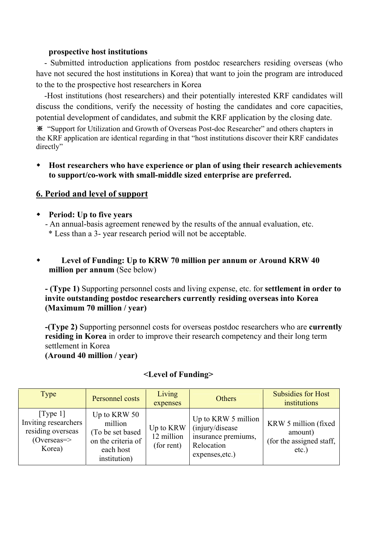#### **prospective host institutions**

- Submitted introduction applications from postdoc researchers residing overseas (who have not secured the host institutions in Korea) that want to join the program are introduced to the to the prospective host researchers in Korea

-Host institutions (host researchers) and their potentially interested KRF candidates will discuss the conditions, verify the necessity of hosting the candidates and core capacities, potential development of candidates, and submit the KRF application by the closing date.

※ "Support for Utilization and Growth of Overseas Post-doc Researcher" and others chapters in the KRF application are identical regarding in that "host institutions discover their KRF candidates directly"

 **Host researchers who have experience or plan of using their research achievements to support/co-work with small-middle sized enterprise are preferred.** 

#### **6. Period and level of support**

**Period: Up to five years** 

- An annual-basis agreement renewed by the results of the annual evaluation, etc.

\* Less than a 3- year research period will not be acceptable.

#### **Level of Funding: Up to KRW 70 million per annum or Around KRW 40 million per annum** (See below)

**- (Type 1)** Supporting personnel costs and living expense, etc. for **settlement in order to invite outstanding postdoc researchers currently residing overseas into Korea (Maximum 70 million / year)**

**-(Type 2)** Supporting personnel costs for overseas postdoc researchers who are **currently residing in Korea** in order to improve their research competency and their long term settlement in Korea

**(Around 40 million / year)** 

| Type                                                                                       | Personnel costs                                                                                 | Living<br>expenses                    | Others                                                                                          | <b>Subsidies for Host</b><br>institutions                               |
|--------------------------------------------------------------------------------------------|-------------------------------------------------------------------------------------------------|---------------------------------------|-------------------------------------------------------------------------------------------------|-------------------------------------------------------------------------|
| [Type 1]<br>Inviting researchers<br>residing overseas<br>$(Overseas \Rightarrow$<br>Korea) | Up to KRW 50<br>million<br>(To be set based)<br>on the criteria of<br>each host<br>institution) | Up to KRW<br>12 million<br>(for rent) | Up to KRW 5 million<br>(injury/disease)<br>insurance premiums,<br>Relocation<br>expenses, etc.) | KRW 5 million (fixed<br>amount)<br>(for the assigned staff,<br>$etc.$ ) |

#### **<Level of Funding>**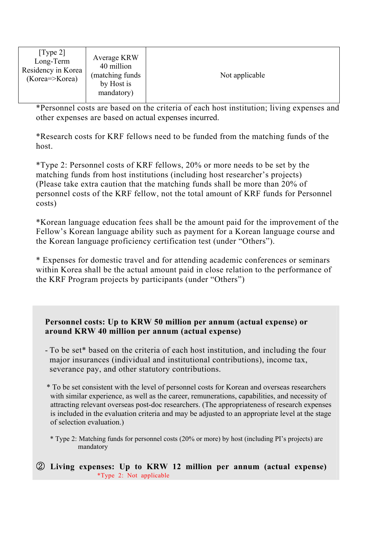| [Type 2]<br>Long-Term<br>Residency in Korea<br>(Korea=>Korea) | Average KRW<br>40 million<br>(matching funds)<br>by Host is<br>mandatory) | Not applicable |
|---------------------------------------------------------------|---------------------------------------------------------------------------|----------------|
|---------------------------------------------------------------|---------------------------------------------------------------------------|----------------|

\*Personnel costs are based on the criteria of each host institution; living expenses and other expenses are based on actual expenses incurred.

\*Research costs for KRF fellows need to be funded from the matching funds of the host.

\*Type 2: Personnel costs of KRF fellows, 20% or more needs to be set by the matching funds from host institutions (including host researcher's projects) (Please take extra caution that the matching funds shall be more than 20% of personnel costs of the KRF fellow, not the total amount of KRF funds for Personnel costs)

\*Korean language education fees shall be the amount paid for the improvement of the Fellow's Korean language ability such as payment for a Korean language course and the Korean language proficiency certification test (under "Others").

\* Expenses for domestic travel and for attending academic conferences or seminars within Korea shall be the actual amount paid in close relation to the performance of the KRF Program projects by participants (under "Others")

#### **Personnel costs: Up to KRW 50 million per annum (actual expense) or around KRW 40 million per annum (actual expense)**

- To be set\* based on the criteria of each host institution, and including the four major insurances (individual and institutional contributions), income tax, severance pay, and other statutory contributions.
- \* To be set consistent with the level of personnel costs for Korean and overseas researchers with similar experience, as well as the career, remunerations, capabilities, and necessity of attracting relevant overseas post-doc researchers. (The appropriateness of research expenses is included in the evaluation criteria and may be adjusted to an appropriate level at the stage of selection evaluation.)
	- \* Type 2: Matching funds for personnel costs (20% or more) by host (including PI's projects) are mandatory
- ② **Living expenses: Up to KRW 12 million per annum (actual expense)**  \*Type 2: Not applicable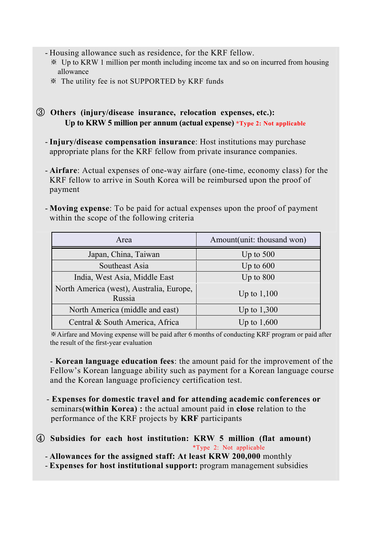- Housing allowance such as residence, for the KRF fellow.
	- ※ Up to KRW 1 million per month including income tax and so on incurred from housing allowance
	- ※ The utility fee is not SUPPORTED by KRF funds
- ③ **Others (injury/disease insurance, relocation expenses, etc.): Up to KRW 5 million per annum (actual expense) \*Type 2: Not applicable**
	- **Injury/disease compensation insurance**: Host institutions may purchase appropriate plans for the KRF fellow from private insurance companies.
	- **Airfare**: Actual expenses of one-way airfare (one-time, economy class) for the KRF fellow to arrive in South Korea will be reimbursed upon the proof of payment
	- **Moving expense**: To be paid for actual expenses upon the proof of payment within the scope of the following criteria

| Area                                               | Amount(unit: thousand won) |
|----------------------------------------------------|----------------------------|
| Japan, China, Taiwan                               | Up to $500$                |
| Southeast Asia                                     | Up to $600$                |
| India, West Asia, Middle East                      | Up to $800$                |
| North America (west), Australia, Europe,<br>Russia | Up to $1,100$              |
| North America (middle and east)                    | Up to $1,300$              |
| Central & South America, Africa                    | Up to $1,600$              |

※Airfare and Moving expense will be paid after 6 months of conducting KRF program or paid after the result of the first-year evaluation

- **Korean language education fees**: the amount paid for the improvement of the Fellow's Korean language ability such as payment for a Korean language course and the Korean language proficiency certification test.

- **Expenses for domestic travel and for attending academic conferences or**  seminars**(within Korea) :** the actual amount paid in **close** relation to the performance of the KRF projects by **KRF** participants
- ④ **Subsidies for each host institution: KRW 5 million (flat amount)**  \*Type 2: Not applicable
	- **Allowances for the assigned staff: At least KRW 200,000** monthly
	- **Expenses for host institutional support:** program management subsidies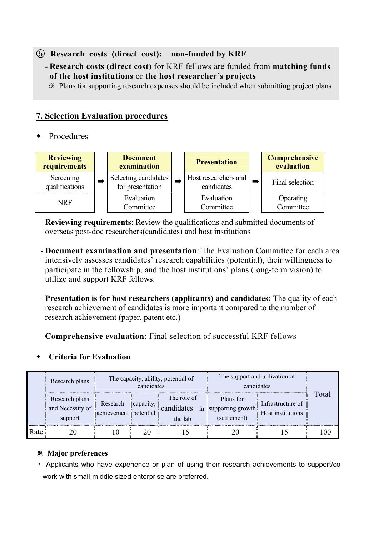⑤ **Research costs (direct cost): non-funded by KRF**

- **Research costs (direct cost)** for KRF fellows are funded from **matching funds of the host institutions** or **the host researcher's projects** 
	- ※ Plans for supporting research expenses should be included when submitting project plans

#### **7. Selection Evaluation procedures**

Procedures



- **Reviewing requirements**: Review the qualifications and submitted documents of overseas post-doc researchers(candidates) and host institutions
- **Document examination and presentation**: The Evaluation Committee for each area intensively assesses candidates' research capabilities (potential), their willingness to participate in the fellowship, and the host institutions' plans (long-term vision) to utilize and support KRF fellows.
- **Presentation is for host researchers (applicants) and candidates:** The quality of each research achievement of candidates is more important compared to the number of research achievement (paper, patent etc.)
- **Comprehensive evaluation**: Final selection of successful KRF fellows

#### **Criteria for Evaluation**

|      | Research plans                                | The capacity, ability, potential of<br>candidates |                                                   |  | The support and utilization of<br>candidates      |                                        |       |
|------|-----------------------------------------------|---------------------------------------------------|---------------------------------------------------|--|---------------------------------------------------|----------------------------------------|-------|
|      | Research plans<br>and Necessity of<br>support | Research<br>achievement potential                 | The role of<br>capacity,<br>candidates<br>the lab |  | Plans for<br>in supporting growth<br>(settlement) | Infrastructure of<br>Host institutions | Total |
| Rate |                                               |                                                   |                                                   |  |                                                   |                                        |       |

#### ※ **Major preferences**

• Applicants who have experience or plan of using their research achievements to support/cowork with small-middle sized enterprise are preferred.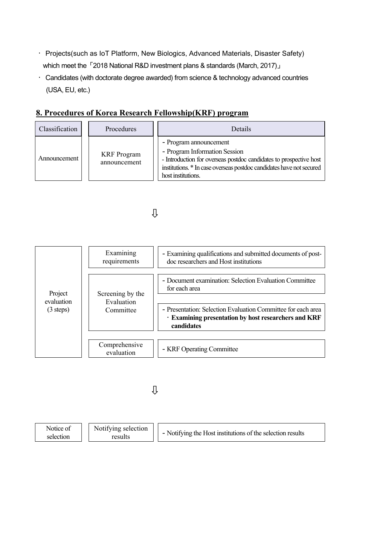- ㆍ Projects(such as IoT Platform, New Biologics, Advanced Materials, Disaster Safety) which meet the 「2018 National R&D investment plans & standards (March, 2017)」
- Candidates (with doctorate degree awarded) from science & technology advanced countries (USA, EU, etc.)

| Classification | Procedures                         | Details                                                                                                                                                                                                                     |
|----------------|------------------------------------|-----------------------------------------------------------------------------------------------------------------------------------------------------------------------------------------------------------------------------|
| Announcement   | <b>KRF</b> Program<br>announcement | - Program announcement<br>- Program Information Session<br>- Introduction for overseas postdoc candidates to prospective host<br>institutions. * In case overseas postdoc candidates have not secured<br>host institutions. |

## **8. Procedures of Korea Research Fellowship(KRF) program**

## ⇩

| Project<br>evaluation<br>$(3 \text{ steps})$ | Examining<br>requirements                                                  | - Examining qualifications and submitted documents of post-<br>doc researchers and Host institutions                               |
|----------------------------------------------|----------------------------------------------------------------------------|------------------------------------------------------------------------------------------------------------------------------------|
|                                              | Screening by the<br>Evaluation<br>Committee<br>Comprehensive<br>evaluation | - Document examination: Selection Evaluation Committee<br>for each area                                                            |
|                                              |                                                                            | - Presentation: Selection Evaluation Committee for each area<br>· Examining presentation by host researchers and KRF<br>candidates |
|                                              |                                                                            | - KRF Operating Committee                                                                                                          |

## ⇩

| Notifying selection<br>Notice of<br>selection<br>results | - Notifying the Host institutions of the selection results |
|----------------------------------------------------------|------------------------------------------------------------|
|----------------------------------------------------------|------------------------------------------------------------|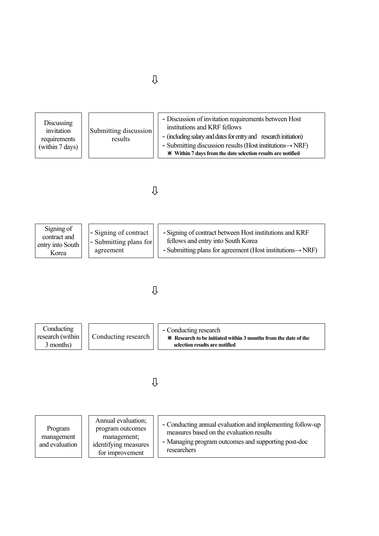| Discussing<br>invitation<br>Submitting discussion<br>results<br>requirements<br>(within 7 days) | - Discussion of invitation requirements between Host<br>institutions and KRF fellows<br>- (including salary and dates for entry and research initiation)<br>- Submitting discussion results (Host institutions $\rightarrow$ NRF)<br>* Within 7 days from the date selection results are notified |
|-------------------------------------------------------------------------------------------------|---------------------------------------------------------------------------------------------------------------------------------------------------------------------------------------------------------------------------------------------------------------------------------------------------|
|-------------------------------------------------------------------------------------------------|---------------------------------------------------------------------------------------------------------------------------------------------------------------------------------------------------------------------------------------------------------------------------------------------------|

## ⇩

| Signing of<br>contract and<br>entry into South<br>Korea | - Signing of contract<br>- Submitting plans for<br>agreement | - Signing of contract between Host institutions and KRF<br>fellows and entry into South Korea<br>- Submitting plans for agreement (Host institutions $\rightarrow$ NRF) |
|---------------------------------------------------------|--------------------------------------------------------------|-------------------------------------------------------------------------------------------------------------------------------------------------------------------------|
|---------------------------------------------------------|--------------------------------------------------------------|-------------------------------------------------------------------------------------------------------------------------------------------------------------------------|

# ⇩



# ⇩

| Program<br>management<br>and evaluation | Annual evaluation;<br>program outcomes<br>management;<br>identifying measures<br>for improvement | - Conducting annual evaluation and implementing follow-up<br>measures based on the evaluation results<br>- Managing program outcomes and supporting post-doc<br>researchers |
|-----------------------------------------|--------------------------------------------------------------------------------------------------|-----------------------------------------------------------------------------------------------------------------------------------------------------------------------------|
|-----------------------------------------|--------------------------------------------------------------------------------------------------|-----------------------------------------------------------------------------------------------------------------------------------------------------------------------------|

## ⇩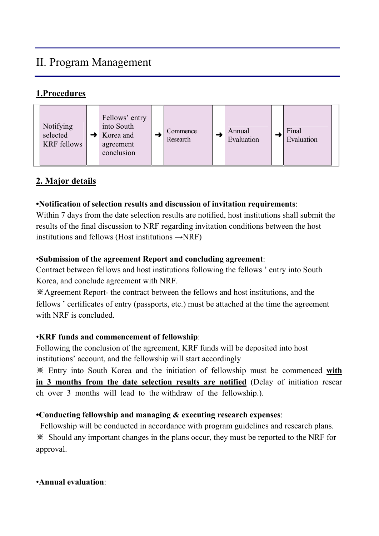# II. Program Management

## **1.Procedures**



## **2. Major details**

#### **•Notification of selection results and discussion of invitation requirements**:

Within 7 days from the date selection results are notified, host institutions shall submit the results of the final discussion to NRF regarding invitation conditions between the host institutions and fellows (Host institutions  $\rightarrow$ NRF)

#### •**Submission of the agreement Report and concluding agreement**:

Contract between fellows and host institutions following the fellows ' entry into South Korea, and conclude agreement with NRF.

※Agreement Report- the contract between the fellows and host institutions, and the fellows ' certificates of entry (passports, etc.) must be attached at the time the agreement with NRF is concluded.

#### •**KRF funds and commencement of fellowship**:

Following the conclusion of the agreement, KRF funds will be deposited into host institutions' account, and the fellowship will start accordingly

※ Entry into South Korea and the initiation of fellowship must be commenced **with in 3 months from the date selection results are notified** (Delay of initiation resear ch over 3 months will lead to the withdraw of the fellowship.).

## **•Conducting fellowship and managing & executing research expenses**:

 Fellowship will be conducted in accordance with program guidelines and research plans. ※ Should any important changes in the plans occur, they must be reported to the NRF for approval.

•**Annual evaluation**: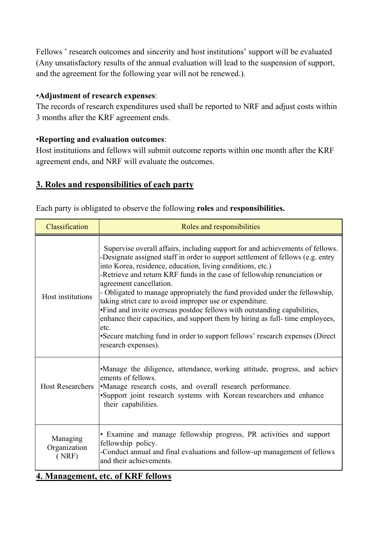Fellows ' research outcomes and sincerity and host institutions' support will be evaluated (Any unsatisfactory results of the annual evaluation will lead to the suspension of support, and the agreement for the following year will not be renewed.).

#### •**Adjustment of research expenses**:

The records of research expenditures used shall be reported to NRF and adjust costs within 3 months after the KRF agreement ends.

#### •**Reporting and evaluation outcomes**:

Host institutions and fellows will submit outcome reports within one month after the KRF agreement ends, and NRF will evaluate the outcomes.

## **3. Roles and responsibilities of each party**

|  |  |  | Each party is obligated to observe the following roles and responsibilities. |
|--|--|--|------------------------------------------------------------------------------|
|  |  |  |                                                                              |

| Classification                    | Roles and responsibilities                                                                                                                                                                                                                                                                                                                                                                                                                                                                                                                                                                                                                                                                                                                                    |
|-----------------------------------|---------------------------------------------------------------------------------------------------------------------------------------------------------------------------------------------------------------------------------------------------------------------------------------------------------------------------------------------------------------------------------------------------------------------------------------------------------------------------------------------------------------------------------------------------------------------------------------------------------------------------------------------------------------------------------------------------------------------------------------------------------------|
| Host institutions                 | Supervise overall affairs, including support for and achievements of fellows.<br>-Designate assigned staff in order to support settlement of fellows (e.g. entry<br>into Korea, residence, education, living conditions, etc.)<br>-Retrieve and return KRF funds in the case of fellowship renunciation or<br>agreement cancellation.<br>- Obligated to manage appropriately the fund provided under the fellowship,<br>taking strict care to avoid improper use or expenditure.<br>• Find and invite overseas postdoc fellows with outstanding capabilities,<br>enhance their capacities, and support them by hiring as full-time employees,<br>etc.<br>• Secure matching fund in order to support fellows' research expenses (Direct<br>research expenses). |
| <b>Host Researchers</b>           | •Manage the diligence, attendance, working attitude, progress, and achiev<br>ements of fellows.<br>•Manage research costs, and overall research performance.<br>•Support joint research systems with Korean researchers and enhance<br>their capabilities.                                                                                                                                                                                                                                                                                                                                                                                                                                                                                                    |
| Managing<br>Organization<br>(NRF) | • Examine and manage fellowship progress, PR activities and support<br>fellowship policy.<br>-Conduct annual and final evaluations and follow-up management of fellows<br>and their achievements.                                                                                                                                                                                                                                                                                                                                                                                                                                                                                                                                                             |

#### **4. Management, etc. of KRF fellows**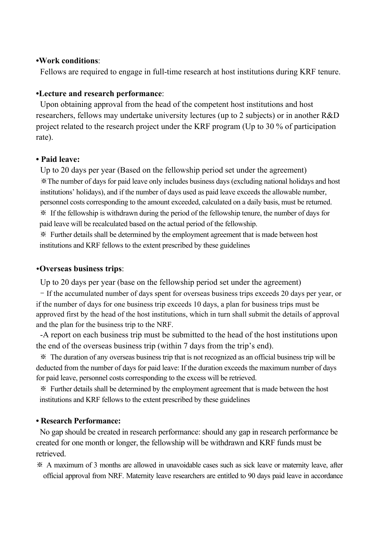#### **•Work conditions**:

Fellows are required to engage in full-time research at host institutions during KRF tenure.

#### **•Lecture and research performance**:

Upon obtaining approval from the head of the competent host institutions and host researchers, fellows may undertake university lectures (up to 2 subjects) or in another R&D project related to the research project under the KRF program (Up to 30 % of participation rate).

#### **• Paid leave:**

Up to 20 days per year (Based on the fellowship period set under the agreement) ※The number of days for paid leave only includes business days (excluding national holidays and host institutions' holidays), and if the number of days used as paid leave exceeds the allowable number, personnel costs corresponding to the amount exceeded, calculated on a daily basis, must be returned. ※ If the fellowship is withdrawn during the period of the fellowship tenure, the number of days for paid leave will be recalculated based on the actual period of the fellowship.

※ Further details shall be determined by the employment agreement that is made between host institutions and KRF fellows to the extent prescribed by these guidelines

#### **•Overseas business trips**:

Up to 20 days per year (base on the fellowship period set under the agreement)

- If the accumulated number of days spent for overseas business trips exceeds 20 days per year, or if the number of days for one business trip exceeds 10 days, a plan for business trips must be approved first by the head of the host institutions, which in turn shall submit the details of approval and the plan for the business trip to the NRF.

-A report on each business trip must be submitted to the head of the host institutions upon the end of the overseas business trip (within 7 days from the trip's end).

 ※ The duration of any overseas business trip that is not recognized as an official business trip will be deducted from the number of days for paid leave: If the duration exceeds the maximum number of days for paid leave, personnel costs corresponding to the excess will be retrieved.

※ Further details shall be determined by the employment agreement that is made between the host institutions and KRF fellows to the extent prescribed by these guidelines

#### **• Research Performance:**

 No gap should be created in research performance: should any gap in research performance be created for one month or longer, the fellowship will be withdrawn and KRF funds must be retrieved.

※ A maximum of 3 months are allowed in unavoidable cases such as sick leave or maternity leave, after official approval from NRF. Maternity leave researchers are entitled to 90 days paid leave in accordance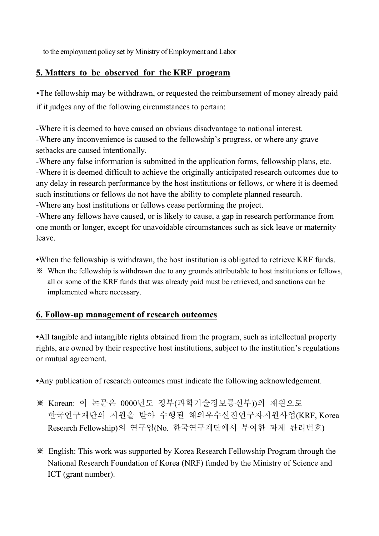to the employment policy set by Ministry of Employment and Labor

## **5. Matters to be observed for the KRF program**

•The fellowship may be withdrawn, or requested the reimbursement of money already paid if it judges any of the following circumstances to pertain:

-Where it is deemed to have caused an obvious disadvantage to national interest. -Where any inconvenience is caused to the fellowship's progress, or where any grave setbacks are caused intentionally.

-Where any false information is submitted in the application forms, fellowship plans, etc. -Where it is deemed difficult to achieve the originally anticipated research outcomes due to any delay in research performance by the host institutions or fellows, or where it is deemed such institutions or fellows do not have the ability to complete planned research.

-Where any host institutions or fellows cease performing the project.

-Where any fellows have caused, or is likely to cause, a gap in research performance from one month or longer, except for unavoidable circumstances such as sick leave or maternity leave.

**•**When the fellowship is withdrawn, the host institution is obligated to retrieve KRF funds.

※ When the fellowship is withdrawn due to any grounds attributable to host institutions or fellows, all or some of the KRF funds that was already paid must be retrieved, and sanctions can be implemented where necessary.

## **6. Follow-up management of research outcomes**

•All tangible and intangible rights obtained from the program, such as intellectual property rights, are owned by their respective host institutions, subject to the institution's regulations or mutual agreement.

**•**Any publication of research outcomes must indicate the following acknowledgement.

- ※ Korean: 이 논문은 0000년도 정부(과학기술정보통신부))의 재원으로 한국연구재단의 지원을 받아 수행된 해외우수신진연구자지원사업(KRF, Korea Research Fellowship)의 연구임(No. 한국연구재단에서 부여한 과제 관리번호)
- ※ English: This work was supported by Korea Research Fellowship Program through the National Research Foundation of Korea (NRF) funded by the Ministry of Science and ICT (grant number).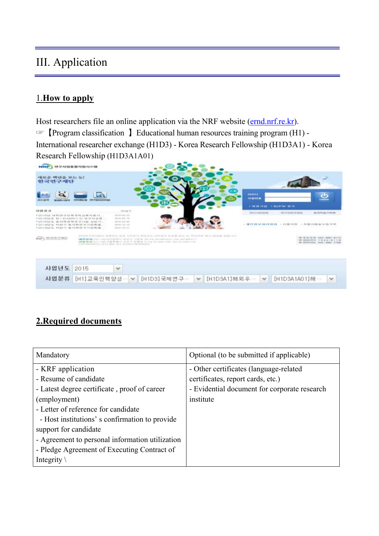# III. Application

## 1.**How to apply**

Host researchers file an online application via the NRF website [\(ernd.nrf.re.kr](http://ernd.nrf.re.kr/)). ☞【Program classification 】Educational human resources training program (H1) - International researcher exchange (H1D3) - Korea Research Fellowship (H1D3A1) - Korea Research Fellowship (H1D3A1A01)



## **2.Required documents**

| Mandatory                                       | Optional (to be submitted if applicable)     |
|-------------------------------------------------|----------------------------------------------|
| - KRF application                               | - Other certificates (language-related)      |
| - Resume of candidate                           | certificates, report cards, etc.)            |
| - Latest degree certificate, proof of career    | - Evidential document for corporate research |
| (employment)                                    | institute                                    |
| - Letter of reference for candidate             |                                              |
| - Host institutions' s confirmation to provide  |                                              |
| support for candidate                           |                                              |
| - Agreement to personal information utilization |                                              |
| - Pledge Agreement of Executing Contract of     |                                              |
| Integrity $\setminus$                           |                                              |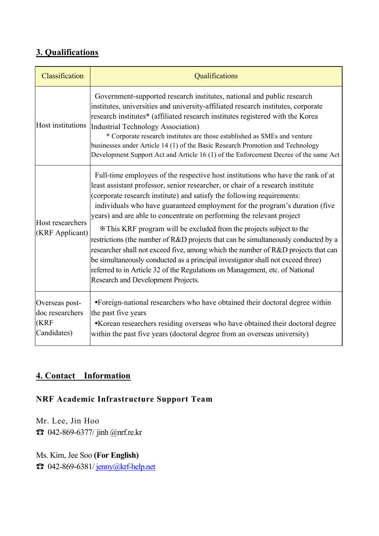## **3. Qualifications**

| Classification                                           | Qualifications                                                                                                                                                                                                                                                                                                                                                                                                                                                                                                                                                                                                                                                                                                                                                                                                                                                  |
|----------------------------------------------------------|-----------------------------------------------------------------------------------------------------------------------------------------------------------------------------------------------------------------------------------------------------------------------------------------------------------------------------------------------------------------------------------------------------------------------------------------------------------------------------------------------------------------------------------------------------------------------------------------------------------------------------------------------------------------------------------------------------------------------------------------------------------------------------------------------------------------------------------------------------------------|
| Host institutions                                        | Government-supported research institutes, national and public research<br>institutes, universities and university-affiliated research institutes, corporate<br>research institutes* (affiliated research institutes registered with the Korea<br>Industrial Technology Association)<br>* Corporate research institutes are those established as SMEs and venture<br>businesses under Article 14 (1) of the Basic Research Promotion and Technology<br>Development Support Act and Article 16 (1) of the Enforcement Decree of the same Act                                                                                                                                                                                                                                                                                                                      |
| Host researchers<br>(KRF Applicant)                      | Full-time employees of the respective host institutions who have the rank of at<br>least assistant professor, senior researcher, or chair of a research institute<br>(corporate research institute) and satisfy the following requirements:<br>individuals who have guaranteed employment for the program's duration (five<br>years) and are able to concentrate on performing the relevant project<br>* This KRF program will be excluded from the projects subject to the<br>restrictions (the number of R&D projects that can be simultaneously conducted by a<br>researcher shall not exceed five, among which the number of R&D projects that can<br>be simultaneously conducted as a principal investigator shall not exceed three)<br>referred to in Article 32 of the Regulations on Management, etc. of National<br>Research and Development Projects. |
| Overseas post-<br>doc researchers<br>(KRF<br>Candidates) | •Foreign-national researchers who have obtained their doctoral degree within<br>the past five years<br>•Korean researchers residing overseas who have obtained their doctoral degree<br>within the past five years (doctoral degree from an overseas university)                                                                                                                                                                                                                                                                                                                                                                                                                                                                                                                                                                                                |

## **4. Contact Information**

## **NRF Academic Infrastructure Support Team**

Mr. Lee, Jin Hoo ☎ 042-869-6377/ jinh @nrf.re.kr

Ms. Kim, Jee Soo **(For English)** ☎ 042-869-6381/ jenny@krf-help.net